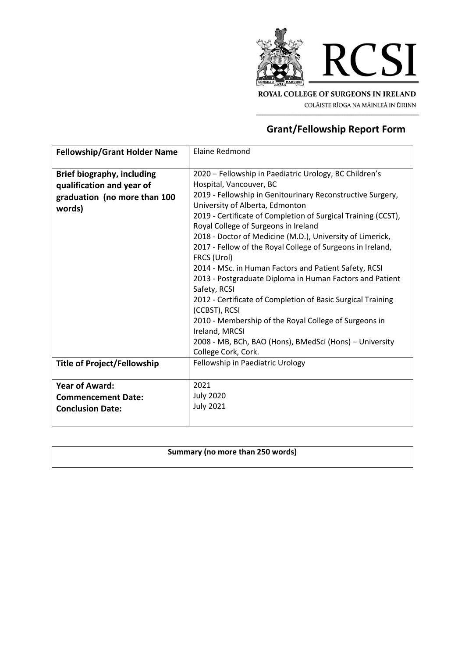

COLÁISTE RÍOGA NA MÁINLEÁ IN ÉIRINN

## **Grant/Fellowship Report Form**

| <b>Fellowship/Grant Holder Name</b> | <b>Elaine Redmond</b>                                         |
|-------------------------------------|---------------------------------------------------------------|
|                                     |                                                               |
| <b>Brief biography, including</b>   | 2020 - Fellowship in Paediatric Urology, BC Children's        |
| qualification and year of           | Hospital, Vancouver, BC                                       |
| graduation (no more than 100        | 2019 - Fellowship in Genitourinary Reconstructive Surgery,    |
| words)                              | University of Alberta, Edmonton                               |
|                                     | 2019 - Certificate of Completion of Surgical Training (CCST), |
|                                     | Royal College of Surgeons in Ireland                          |
|                                     | 2018 - Doctor of Medicine (M.D.), University of Limerick,     |
|                                     | 2017 - Fellow of the Royal College of Surgeons in Ireland,    |
|                                     | FRCS (Urol)                                                   |
|                                     | 2014 - MSc. in Human Factors and Patient Safety, RCSI         |
|                                     | 2013 - Postgraduate Diploma in Human Factors and Patient      |
|                                     | Safety, RCSI                                                  |
|                                     | 2012 - Certificate of Completion of Basic Surgical Training   |
|                                     | (CCBST), RCSI                                                 |
|                                     | 2010 - Membership of the Royal College of Surgeons in         |
|                                     | Ireland, MRCSI                                                |
|                                     | 2008 - MB, BCh, BAO (Hons), BMedSci (Hons) - University       |
|                                     | College Cork, Cork.                                           |
| <b>Title of Project/Fellowship</b>  | Fellowship in Paediatric Urology                              |
|                                     |                                                               |
| <b>Year of Award:</b>               | 2021                                                          |
| <b>Commencement Date:</b>           | <b>July 2020</b>                                              |
| <b>Conclusion Date:</b>             | <b>July 2021</b>                                              |
|                                     |                                                               |
|                                     |                                                               |

## **Summary (no more than 250 words)**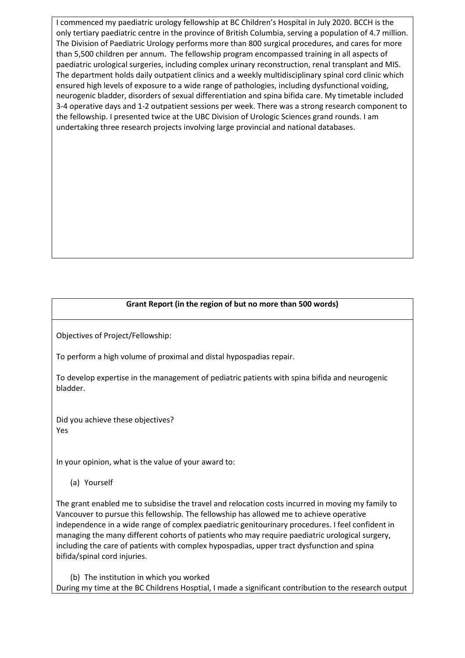I commenced my paediatric urology fellowship at BC Children's Hospital in July 2020. BCCH is the only tertiary paediatric centre in the province of British Columbia, serving a population of 4.7 million. The Division of Paediatric Urology performs more than 800 surgical procedures, and cares for more than 5,500 children per annum. The fellowship program encompassed training in all aspects of paediatric urological surgeries, including complex urinary reconstruction, renal transplant and MIS. The department holds daily outpatient clinics and a weekly multidisciplinary spinal cord clinic which ensured high levels of exposure to a wide range of pathologies, including dysfunctional voiding, neurogenic bladder, disorders of sexual differentiation and spina bifida care. My timetable included 3-4 operative days and 1-2 outpatient sessions per week. There was a strong research component to the fellowship. I presented twice at the UBC Division of Urologic Sciences grand rounds. I am undertaking three research projects involving large provincial and national databases.

## **Grant Report (in the region of but no more than 500 words)**

Objectives of Project/Fellowship:

To perform a high volume of proximal and distal hypospadias repair.

To develop expertise in the management of pediatric patients with spina bifida and neurogenic bladder.

Did you achieve these objectives? Yes

In your opinion, what is the value of your award to:

(a) Yourself

The grant enabled me to subsidise the travel and relocation costs incurred in moving my family to Vancouver to pursue this fellowship. The fellowship has allowed me to achieve operative independence in a wide range of complex paediatric genitourinary procedures. I feel confident in managing the many different cohorts of patients who may require paediatric urological surgery, including the care of patients with complex hypospadias, upper tract dysfunction and spina bifida/spinal cord injuries.

(b) The institution in which you worked During my time at the BC Childrens Hosptial, I made a significant contribution to the research output